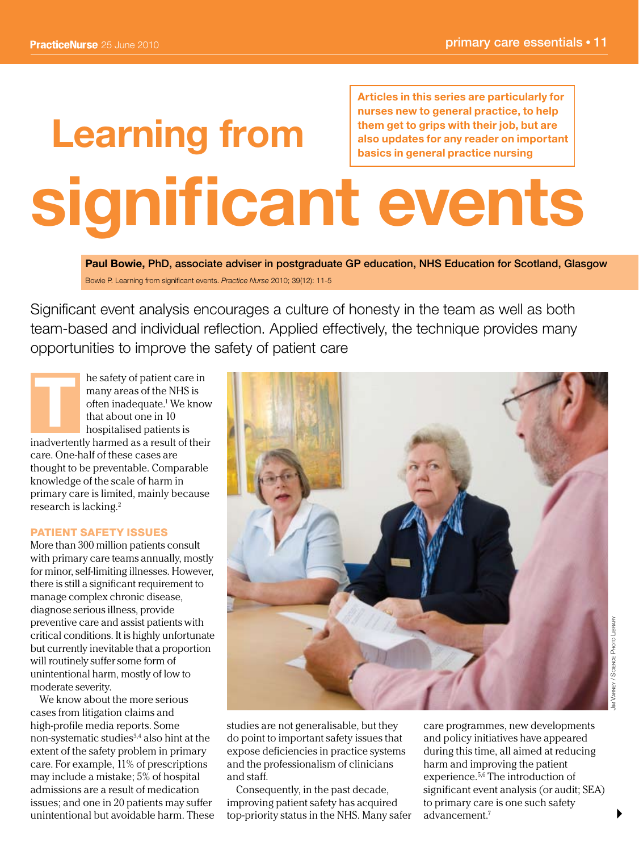**Articles in this series are particularly for**

# **Learning from significant events nurses new to general practice, to help them get to grips with their job, but are also updates for any reader on important basics in general practice nursing**

**Paul Bowie,** PhD, associate adviser in postgraduate GP education, NHS Education for Scotland, Glasgow Bowie P. Learning from significant events. *Practice Nurse* 2010; 39(12): 11-5

Significant event analysis encourages a culture of honesty in the team as well as both team-based and individual reflection. Applied effectively, the technique provides many opportunities to improve the safety of patient care

he safety of patient care in many areas of the NHS is often inadequate.1 We know that about one in 10 hospitalised patients is inadvertently harmed as a result of their care. One-half of these cases are thought to be preventable. Comparable knowledge of the scale of harm in primary care is limited, mainly because research is lacking.2 **T** 

# PATIENT SAFETY ISSUES

More than 300 million patients consult with primary care teams annually, mostly for minor, self-limiting illnesses. However, there is still a significant requirement to manage complex chronic disease, diagnose serious illness, provide preventive care and assist patients with critical conditions. It is highly unfortunate but currently inevitable that a proportion will routinely suffer some form of unintentional harm, mostly of low to moderate severity.

We know about the more serious cases from litigation claims and high-profile media reports. Some non-systematic studies3,4 also hint at the extent of the safety problem in primary care. For example, 11% of prescriptions may include a mistake; 5% of hospital admissions are a result of medication issues; and one in 20 patients may suffer unintentional but avoidable harm. These



studies are not generalisable, but they do point to important safety issues that expose deficiencies in practice systems and the professionalism of clinicians and staff.

Consequently, in the past decade, improving patient safety has acquired top-priority status in the NHS. Many safer care programmes, new developments and policy initiatives have appeared during this time, all aimed at reducing harm and improving the patient experience.5,6 The introduction of significant event analysis (or audit; SEA) to primary care is one such safety advancement<sup>7</sup>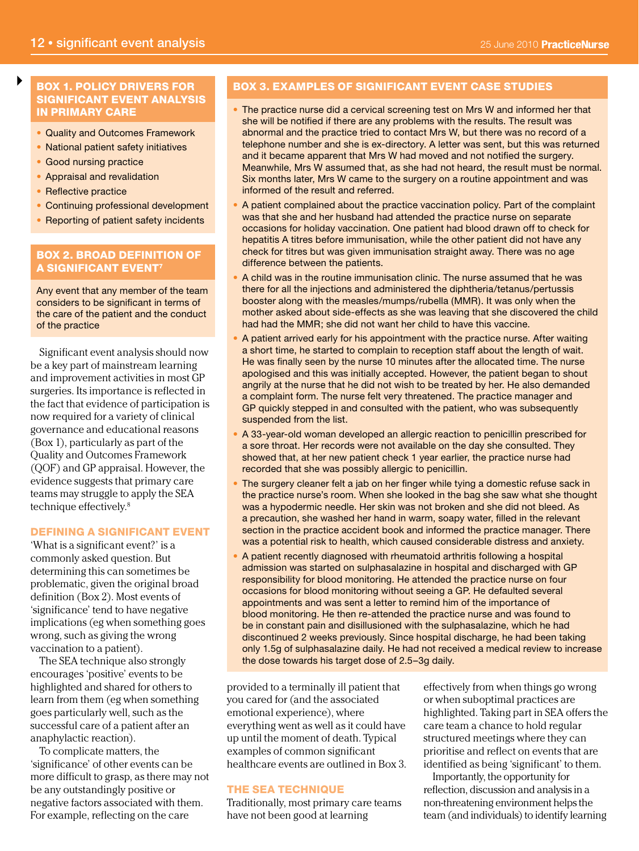# BOX 1. POLICY DRIVERS FOR SIGNIFICANT EVENT ANALYSIS IN PRIMARY CARE

- Quality and Outcomes Framework
- National patient safety initiatives
- Good nursing practice
- Appraisal and revalidation
- Reflective practice

 $\blacktriangleright$ 

- Continuing professional development
- Reporting of patient safety incidents

# BOX 2. BROAD DEFINITION OF A SIGNIFICANT EVENT7

Any event that any member of the team considers to be significant in terms of the care of the patient and the conduct of the practice

Significant event analysis should now be a key part of mainstream learning and improvement activities in most GP surgeries. Its importance is reflected in the fact that evidence of participation is now required for a variety of clinical governance and educational reasons (Box 1), particularly as part of the Quality and Outcomes Framework (QOF) and GP appraisal. However, the evidence suggests that primary care teams may struggle to apply the SEA technique effectively.8

# DEFINING A SIGNIFICANT EVENT

'What is a significant event?' is a commonly asked question. But determining this can sometimes be problematic, given the original broad definition (Box 2). Most events of 'significance' tend to have negative implications (eg when something goes wrong, such as giving the wrong vaccination to a patient).

The SEA technique also strongly encourages 'positive' events to be highlighted and shared for others to learn from them (eg when something goes particularly well, such as the successful care of a patient after an anaphylactic reaction).

To complicate matters, the 'significance' of other events can be more difficult to grasp, as there may not be any outstandingly positive or negative factors associated with them. For example, reflecting on the care

# BOX 3. EXAMPLES OF SIGNIFICANT EVENT CASE STUDIES

- The practice nurse did a cervical screening test on Mrs W and informed her that she will be notified if there are any problems with the results. The result was abnormal and the practice tried to contact Mrs W, but there was no record of a telephone number and she is ex-directory. A letter was sent, but this was returned and it became apparent that Mrs W had moved and not notified the surgery. Meanwhile, Mrs W assumed that, as she had not heard, the result must be normal. Six months later, Mrs W came to the surgery on a routine appointment and was informed of the result and referred.
- A patient complained about the practice vaccination policy. Part of the complaint was that she and her husband had attended the practice nurse on separate occasions for holiday vaccination. One patient had blood drawn off to check for hepatitis A titres before immunisation, while the other patient did not have any check for titres but was given immunisation straight away. There was no age difference between the patients.
- A child was in the routine immunisation clinic. The nurse assumed that he was there for all the injections and administered the diphtheria/tetanus/pertussis booster along with the measles/mumps/rubella (MMR). It was only when the mother asked about side-effects as she was leaving that she discovered the child had had the MMR; she did not want her child to have this vaccine.
- A patient arrived early for his appointment with the practice nurse. After waiting a short time, he started to complain to reception staff about the length of wait. He was finally seen by the nurse 10 minutes after the allocated time. The nurse apologised and this was initially accepted. However, the patient began to shout angrily at the nurse that he did not wish to be treated by her. He also demanded a complaint form. The nurse felt very threatened. The practice manager and GP quickly stepped in and consulted with the patient, who was subsequently suspended from the list.
- A 33-year-old woman developed an allergic reaction to penicillin prescribed for a sore throat. Her records were not available on the day she consulted. They showed that, at her new patient check 1 year earlier, the practice nurse had recorded that she was possibly allergic to penicillin.
- The surgery cleaner felt a jab on her finger while tying a domestic refuse sack in the practice nurse's room. When she looked in the bag she saw what she thought was a hypodermic needle. Her skin was not broken and she did not bleed. As a precaution, she washed her hand in warm, soapy water, filled in the relevant section in the practice accident book and informed the practice manager. There was a potential risk to health, which caused considerable distress and anxiety.
- A patient recently diagnosed with rheumatoid arthritis following a hospital admission was started on sulphasalazine in hospital and discharged with GP responsibility for blood monitoring. He attended the practice nurse on four occasions for blood monitoring without seeing a GP. He defaulted several appointments and was sent a letter to remind him of the importance of blood monitoring. He then re-attended the practice nurse and was found to be in constant pain and disillusioned with the sulphasalazine, which he had discontinued 2 weeks previously. Since hospital discharge, he had been taking only 1.5g of sulphasalazine daily. He had not received a medical review to increase the dose towards his target dose of 2.5–3g daily.

provided to a terminally ill patient that you cared for (and the associated emotional experience), where everything went as well as it could have up until the moment of death. Typical examples of common significant healthcare events are outlined in Box 3.

#### THE SEA TECHNIQUE

Traditionally, most primary care teams have not been good at learning

effectively from when things go wrong or when suboptimal practices are highlighted. Taking part in SEA offers the care team a chance to hold regular structured meetings where they can prioritise and reflect on events that are identified as being 'significant' to them.

Importantly, the opportunity for reflection, discussion and analysis in a non-threatening environment helps the team (and individuals) to identify learning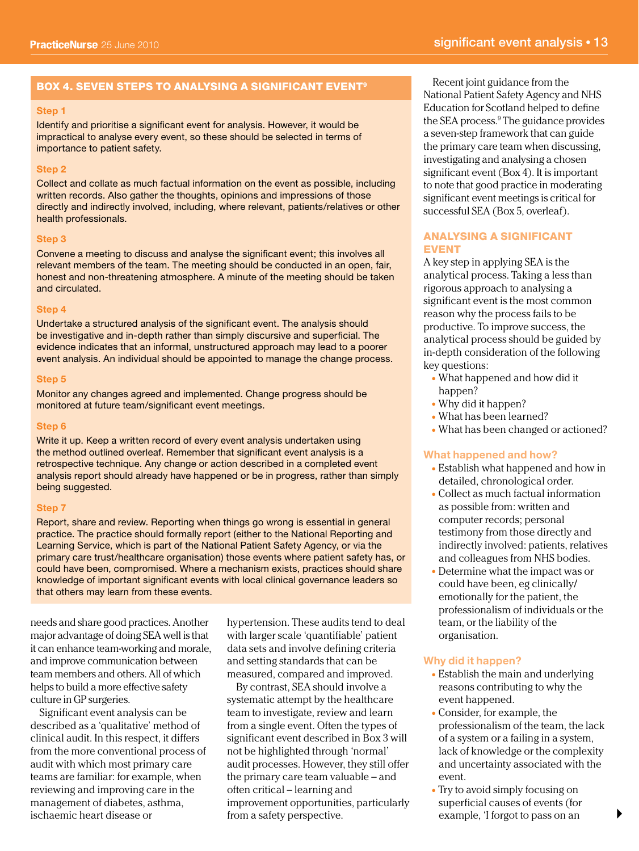# BOX 4. SEVEN STEPS TO ANALYSING A SIGNIFICANT EVENT<sup>9</sup> Recent joint guidance from the

#### **Step 1**

Identify and prioritise a significant event for analysis. However, it would be impractical to analyse every event, so these should be selected in terms of importance to patient safety.

#### **Step 2**

Collect and collate as much factual information on the event as possible, including written records. Also gather the thoughts, opinions and impressions of those directly and indirectly involved, including, where relevant, patients/relatives or other health professionals.

#### **Step 3**

Convene a meeting to discuss and analyse the significant event; this involves all relevant members of the team. The meeting should be conducted in an open, fair, honest and non-threatening atmosphere. A minute of the meeting should be taken and circulated.

#### **Step 4**

Undertake a structured analysis of the significant event. The analysis should be investigative and in-depth rather than simply discursive and superficial. The evidence indicates that an informal, unstructured approach may lead to a poorer event analysis. An individual should be appointed to manage the change process.

#### **Step 5**

Monitor any changes agreed and implemented. Change progress should be monitored at future team/significant event meetings.

#### **Step 6**

Write it up. Keep a written record of every event analysis undertaken using the method outlined overleaf. Remember that significant event analysis is a retrospective technique. Any change or action described in a completed event analysis report should already have happened or be in progress, rather than simply being suggested.

#### **Step 7**

Report, share and review. Reporting when things go wrong is essential in general practice. The practice should formally report (either to the National Reporting and Learning Service, which is part of the National Patient Safety Agency, or via the primary care trust/healthcare organisation) those events where patient safety has, or could have been, compromised. Where a mechanism exists, practices should share knowledge of important significant events with local clinical governance leaders so that others may learn from these events.

needs and share good practices. Another major advantage of doing SEA well is that it can enhance team-working and morale, and improve communication between team members and others. All of which helps to build a more effective safety culture in GP surgeries.

Significant event analysis can be described as a 'qualitative' method of clinical audit. In this respect, it differs from the more conventional process of audit with which most primary care teams are familiar: for example, when reviewing and improving care in the management of diabetes, asthma, ischaemic heart disease or

hypertension. These audits tend to deal with larger scale 'quantifiable' patient data sets and involve defining criteria and setting standards that can be measured, compared and improved.

By contrast, SEA should involve a systematic attempt by the healthcare team to investigate, review and learn from a single event. Often the types of significant event described in Box 3 will not be highlighted through 'normal' audit processes. However, they still offer the primary care team valuable – and often critical – learning and improvement opportunities, particularly from a safety perspective.

National Patient Safety Agency and NHS Education for Scotland helped to define the SEA process.9 The guidance provides a seven-step framework that can guide the primary care team when discussing, investigating and analysing a chosen significant event (Box 4). It is important to note that good practice in moderating significant event meetings is critical for successful SEA (Box 5, overleaf).

# ANALYSING A SIGNIFICANT EVENT

A key step in applying SEA is the analytical process. Taking a less than rigorous approach to analysing a significant event is the most common reason why the process fails to be productive. To improve success, the analytical process should be guided by in-depth consideration of the following key questions:

- What happened and how did it happen?
- Why did it happen?
- What has been learned?
- What has been changed or actioned?

# **What happened and how?**

- Establish what happened and how in detailed, chronological order.
- Collect as much factual information as possible from: written and computer records; personal testimony from those directly and indirectly involved: patients, relatives and colleagues from NHS bodies.
- Determine what the impact was or could have been, eg clinically/ emotionally for the patient, the professionalism of individuals or the team, or the liability of the organisation.

#### **Why did it happen?**

- Establish the main and underlying reasons contributing to why the event happened.
- Consider, for example, the professionalism of the team, the lack of a system or a failing in a system, lack of knowledge or the complexity and uncertainty associated with the event.
- Try to avoid simply focusing on superficial causes of events (for example, 'I forgot to pass on an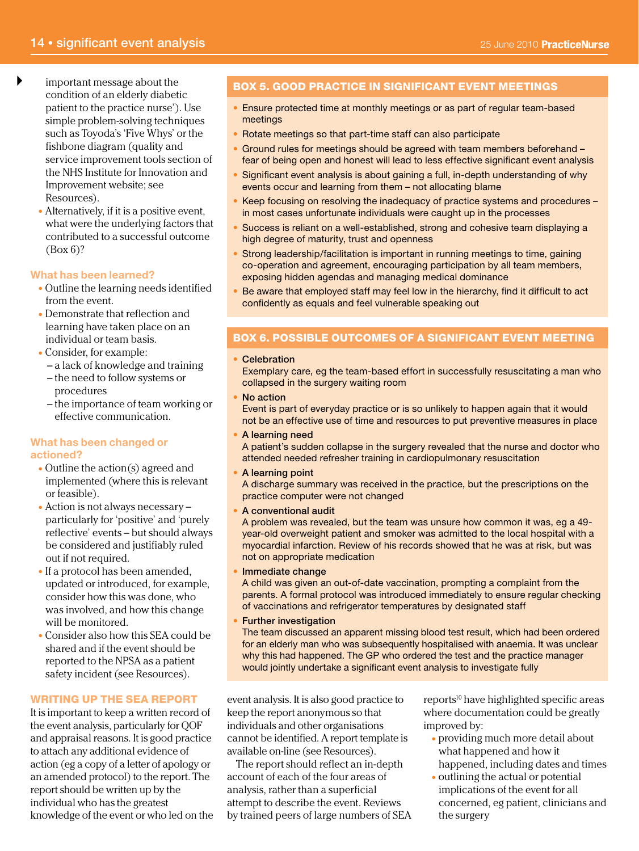- $\blacktriangleright$ important message about the condition of an elderly diabetic patient to the practice nurse'). Use simple problem-solving techniques such as Toyoda's 'Five Whys' or the fishbone diagram (quality and service improvement tools section of the NHS Institute for Innovation and Improvement website; see Resources).
	- Alternatively, if it is a positive event, what were the underlying factors that contributed to a successful outcome (Box 6)?

# **What has been learned?**

- Outline the learning needs identified from the event.
- Demonstrate that reflection and learning have taken place on an individual or team basis.
- Consider, for example:
	- a lack of knowledge and training
	- the need to follow systems or procedures
	- the importance of team working or effective communication.

# **What has been changed or actioned?**

- Outline the action(s) agreed and implemented (where this is relevant or feasible).
- Action is not always necessary particularly for 'positive' and 'purely reflective' events – but should always be considered and justifiably ruled out if not required.
- If a protocol has been amended, updated or introduced, for example, consider how this was done, who was involved, and how this change will be monitored.
- Consider also how this SEA could be shared and if the event should be reported to the NPSA as a patient safety incident (see Resources).

# WRITING UP THE SEA REPORT

It is important to keep a written record of the event analysis, particularly for QOF and appraisal reasons. It is good practice to attach any additional evidence of action (eg a copy of a letter of apology or an amended protocol) to the report. The report should be written up by the individual who has the greatest knowledge of the event or who led on the

# BOX 5. GOOD PRACTICE IN SIGNIFICANT EVENT MEETINGS

- Ensure protected time at monthly meetings or as part of regular team-based meetings
- Rotate meetings so that part-time staff can also participate
- Ground rules for meetings should be agreed with team members beforehand fear of being open and honest will lead to less effective significant event analysis
- Significant event analysis is about gaining a full, in-depth understanding of why events occur and learning from them – not allocating blame
- Keep focusing on resolving the inadequacy of practice systems and procedures in most cases unfortunate individuals were caught up in the processes
- Success is reliant on a well-established, strong and cohesive team displaying a high degree of maturity, trust and openness
- Strong leadership/facilitation is important in running meetings to time, gaining co-operation and agreement, encouraging participation by all team members, exposing hidden agendas and managing medical dominance
- Be aware that employed staff may feel low in the hierarchy, find it difficult to act confidently as equals and feel vulnerable speaking out

# BOX 6. POSSIBLE OUTCOMES OF A SIGNIFICANT EVENT MEETING

#### • Celebration

Exemplary care, eg the team-based effort in successfully resuscitating a man who collapsed in the surgery waiting room

- No action Event is part of everyday practice or is so unlikely to happen again that it would
- not be an effective use of time and resources to put preventive measures in place • A learning need

A patient's sudden collapse in the surgery revealed that the nurse and doctor who attended needed refresher training in cardiopulmonary resuscitation

• A learning point

A discharge summary was received in the practice, but the prescriptions on the practice computer were not changed

• A conventional audit

A problem was revealed, but the team was unsure how common it was, eg a 49 year-old overweight patient and smoker was admitted to the local hospital with a myocardial infarction. Review of his records showed that he was at risk, but was not on appropriate medication

- Immediate change A child was given an out-of-date vaccination, prompting a complaint from the parents. A formal protocol was introduced immediately to ensure regular checking of vaccinations and refrigerator temperatures by designated staff
- Further investigation

The team discussed an apparent missing blood test result, which had been ordered for an elderly man who was subsequently hospitalised with anaemia. It was unclear why this had happened. The GP who ordered the test and the practice manager would jointly undertake a significant event analysis to investigate fully

event analysis. It is also good practice to keep the report anonymous so that individuals and other organisations cannot be identified. A report template is available on-line (see Resources).

The report should reflect an in-depth account of each of the four areas of analysis, rather than a superficial attempt to describe the event. Reviews by trained peers of large numbers of SEA reports<sup>10</sup> have highlighted specific areas where documentation could be greatly improved by:

- providing much more detail about what happened and how it happened, including dates and times
- outlining the actual or potential implications of the event for all concerned, eg patient, clinicians and the surgery